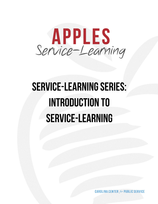

## PLAN HOW TO MEASURE STUDENT PROGRESS THROUGH A PROGRESS TO MEASURE SERVICElearning courses should have a strong, ongoing assessment component throughout the course. Plan assignments and tests that both *teach* and *test* the learning you value most. Be sure planned demonstrate knowledge or skills learned. Provide students with frequent, informal opportunities to re-think and revise. Learning from mistakes leads to ongoing improvement in understanding.  $\mathbb{S}$  sum up a studient opportunities for feedback and revision, and revision, at  $\mathbb{S}$ Plan learning experiences and instruction. Plan learning activities that support the learning goals of the course and adapt your teaching strategies as needed. Be clear with your students about what you want them to learn.

**CAROLINA CENTER for PUBLIC SER**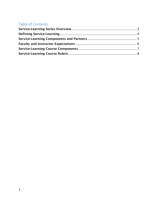# Table of Contents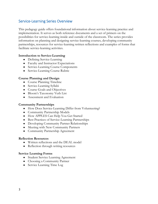## <span id="page-2-0"></span>Service-Learning Series Overview

This pedagogy guide offers foundational information about service-learning practice and implementation. It serves as both reference documents and a set of primers on the possibilities for service-learning inside and outside of the classroom. The series provides information on planning and designing service-learning courses, developing community partnerships, resources for service-learning written reflections and examples of forms that facilitate service-learning activities.

### **Introduction to Service-Learning**

- Defining Service-Learning
- Faculty and Instructor Expectations
- Service-Learning Course Components
- Service-Learning Course Rubric

### **Course Planning and Design**

- Course Planning Timeline
- Service-Learning Syllabi
- Course Goals and Objectives
- Bloom's Taxonomy Verb List
- Assessment and Evaluation

### **Community Partnerships**

- How Does Service-Learning Differ from Volunteering?
- Community Partnership Models
- How APPLES Can Help You Get Started
- Best Practices of Service-Learning Partnerships
- Developing Community Partner Relationships
- Meeting with New Community Partners
- Community Partnership Agreement

### **Reflection Resources**

- Written reflections and the DEAL model
- Reflection through writing resources

### **Service Learning Forms**

- Student Service Learning Agreement
- Choosing a Community Partner
- Service Learning Time Log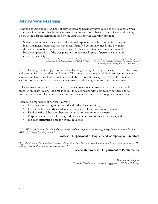## <span id="page-3-0"></span>Defining Service-Learning

Although specific understandings of service-learning pedagogy have varied as the field has grown, the range of definitions has begun to converge on several core characteristics of service-learning. Below is the adapted definition used by the APPLES Service-Learning program:

Service-learning is a course-based educational experience in which students participate in an organized service activity that meets identified community needs and integrates the service activity in such a way as to gain further understanding of course content, a broader appreciation of the discipline and an enhanced sense of personal values and civic responsibility.

> *~ Adapted from Bringle, R., Hatcher, J., & MacIntosh, R. Analyzing Morton's Typology of Service Paradigms and Integrity. Michigan Journal of Community Service Learning. In press. [cf. Bringle & Hatcher, A Service-Learning Curriculum for Faculty. The Michigan Journal of Community Service-Learning, Fall 1995, II pp. 112-122.]*

Service-learning is not simply another active learning strategy; it changes the experience of teaching and learning for both students and faculty. The service component and the learning component should complement each other; neither should be favored at the expense of the other. Servicelearning courses should be as rigorous as non-service-learning sections of the same course.

Collaborative community partnerships are critical to a service-learning experience, as are well prepared students. Taking the time to invest in relationships with community partners and to prepare students results in deeper learning and creates the potential for ongoing connections.

Essential Components of Service-Learning

- Pedagogy embracing **experiential** and **reflective** education;
- Intentionally **integrates** academic learning and relevant community service;
- **Reciprocal** collaboration between campus and community partners;
- Purpose is to **enhance** learning and never to compromise academic **rigor**, and
- Includes **structured** time for critical reflection.

*"The APPLES program has dramatically transformed and improved my teaching. Every professor should teach an APPLES service-learning course."*

#### **Professor, Department of English and Comparative Literature**

*"I get the chance to teach and help students think about how their coursework has some relevance in the real world. It's exciting when students make those connections."*

#### **Associate Professor, Department of Public Policy**

*Materials adapted from: Center for Excellence in Curricular Engagement, NC State University*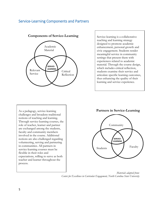## <span id="page-4-0"></span>Service-Learning Components and Partners



**Components of Service-Learning** Service-learning is a collaborative

service-icaring courses in<br>flexible in their roles and As a pedagogy, service-learning challenges and broadens traditional notions of teaching and learning. Through service-learning courses, the role of teacher, learner and partner are exchanged among the students, faculty and community members involved in the course. Additional notions are also challenged regarding volunteering, serving and partnering in communities. All partners in service-learning courses must be expectations, willing to serve as both teacher and learner throughout the process.

teaching and learning strategy designed to promote academic enhancement, personal growth and civic engagement. Students render meaningful service in community settings that present them with experiences related to academic material. Through the course design, which includes critical reflection, students examine their service and articulate specific learning outcomes, thus enhancing the quality of their learning and service experience.

**Partners in Service-Learning**



*Materials adapted from: Center for Excellence in Curricular Engagement, North Carolina State University*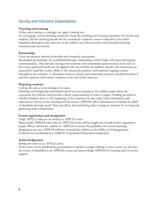## <span id="page-5-0"></span>Faculty and Instructor Expectations

### **Teaching and learning**

#### *Utilize service-learning as a pedagogy, not simply a learning tool.*

As a pedagogy, service-learning transforms both the teaching and learning experience for faculty and students. Service-learning should not be considered a separate course component, but rather integrated throughout the structure of the syllabus and class activities with identified learning outcomes and assessment.

### **Partnerships**

#### *Create and maintain authentic partnerships with community organizations.*

Meaningful partnerships are established through relationships, which begin with open and regular communication. This includes having conversations with community partners about how each of the course goals and needs can be aligned with one another. In addition, faculty and instructors are expected to send the course syllabi to all community partners and maintain ongoing contact throughout the semester. A discussion between faculty and community partners should determine if and how partners will evaluate students at the end of the semester.

#### **Preparing students**

#### *Cultivate the value of service-learning in the course*.

Including and integrating information about service-learning in the syllabus helps frame the experience for students and provide a better understanding of what to expect. Sending an email to enrolled students prior to the beginning of the semester can also help clarify information and expectations about service-learning and the course. APPLES offers information to include in syllabi or distribute through email. Time should be devoted during class to prepare students for serving and partnering with communities.

#### **Course registration and designation**

#### *Notify APPLES when you are teaching an APPLES course.*

Please notify APPLES each time an APPLES course will be taught one month before registration begins. Please submit the syllabus to APPLES to ensure the guidelines for service-learning designation are met. APPLES will then forward the syllabus to the Office of Undergraduate Curricula for consideration to fulfill the Experiential Education component.

#### **Acknowledgement**

#### *Identify your course as an APPLES course.*

In the event of any publication, presentation or media coverage relating to your course, we ask that the course is identified as an APPLES course and acknowledge APPLES for funding and/or course support.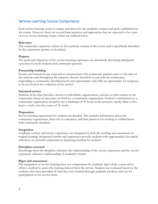## <span id="page-6-0"></span>Service-Learning Course Components

Each service-learning course is unique and driven by the academic content and goals established for the course. However, there are several basic practices and approaches that are expected to be a part of every service-learning course, which are outlined below.

#### **Relevance**

The community experience relates to the academic content of the course and is specifically identified by the community partner as beneficial.

#### **Purpose**

The goals and objectives of the service-learning experience are articulated, describing anticipated outcomes for both students and community partners.

#### **Partnership-building**

Faculty and instructors are expected to communicate with community partners prior to the start of the semester and throughout the semester. Service should be in and with the community, responding to community identified needs and opportunities and offer an opportunity for recipients to be involved in the evaluation of the service.

#### **Sustained service**

Students in the class provide a service to individuals, organizations, schools or other entities in the community, based on the terms set forth by a community organization. Student's commitment to a community organization should be for a minimum of 30 hours in the semester, ideally three to five hours a week over the course of 10 weeks.

#### **Preparation**

Service-learning experiences for students are detailed. This includes information about the community organization, their role as volunteers, and best practices for working in collaboration with community members.

#### **Integration**

Academic content and service experiences are integrated in both the teaching and assessment of student learning. Integrated content and experiences provide students with opportunities for critical reflection, an essential component in deepening learning for students.

#### **Discipline-centered**

Knowledge from the discipline enhances the understanding of the service experience and the service experience enhances understanding of academic content.

#### **Rigor and assessment**

The integration of service-learning does not compromise the academic rigor of the course and it offers a method to assess the learning derived from the service. Students are evaluated based on the evidence they have provided of what they have learned through academic products and not for participation in the service alone.